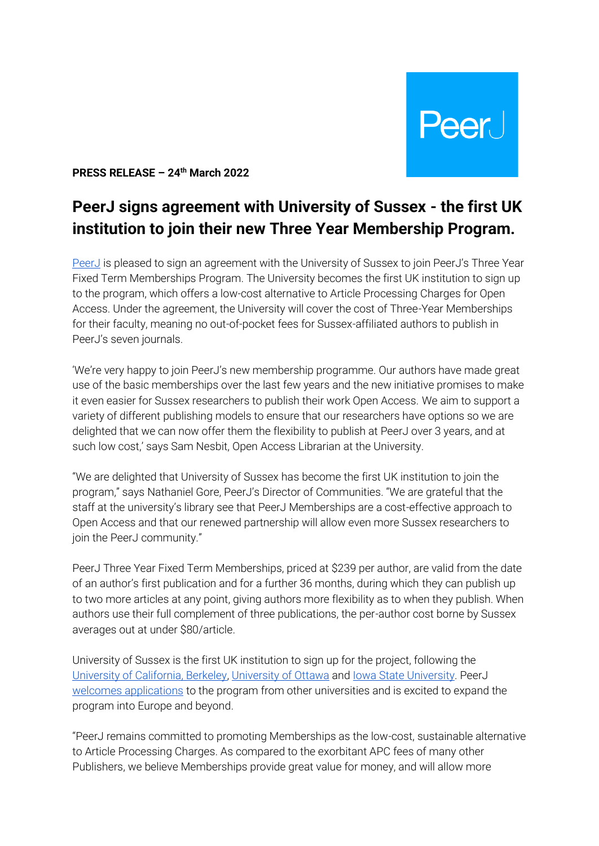**Peer** 

**PRESS RELEASE – 24th March 2022** 

## **PeerJ signs agreement with University of Sussex - the first UK institution to join their new Three Year Membership Program.**

[PeerJ](about:blank) is pleased to sign an agreement with the University of Sussex to join PeerJ's Three Year Fixed Term Memberships Program. The University becomes the first UK institution to sign up to the program, which offers a low-cost alternative to Article Processing Charges for Open Access. Under the agreement, the University will cover the cost of Three-Year Memberships for their faculty, meaning no out-of-pocket fees for Sussex-affiliated authors to publish in PeerJ's seven journals.

'We're very happy to join PeerJ's new membership programme. Our authors have made great use of the basic memberships over the last few years and the new initiative promises to make it even easier for Sussex researchers to publish their work Open Access. We aim to support a variety of different publishing models to ensure that our researchers have options so we are delighted that we can now offer them the flexibility to publish at PeerJ over 3 years, and at such low cost,' says Sam Nesbit, Open Access Librarian at the University.

"We are delighted that University of Sussex has become the first UK institution to join the program," says Nathaniel Gore, PeerJ's Director of Communities. "We are grateful that the staff at the university's library see that PeerJ Memberships are a cost-effective approach to Open Access and that our renewed partnership will allow even more Sussex researchers to join the PeerJ community."

PeerJ Three Year Fixed Term Memberships, priced at \$239 per author, are valid from the date of an author's first publication and for a further 36 months, during which they can publish up to two more articles at any point, giving authors more flexibility as to when they publish. When authors use their full complement of three publications, the per-author cost borne by Sussex averages out at under \$80/article.

University of Sussex is the first UK institution to sign up for the project, following the [University of California, Berkeley, University of Ottawa](about:blank) and [Iowa State University.](about:blank) PeerJ [welcomes applications](about:blank) to the program from other universities and is excited to expand the program into Europe and beyond.

"PeerJ remains committed to promoting Memberships as the low-cost, sustainable alternative to Article Processing Charges. As compared to the exorbitant APC fees of many other Publishers, we believe Memberships provide great value for money, and will allow more